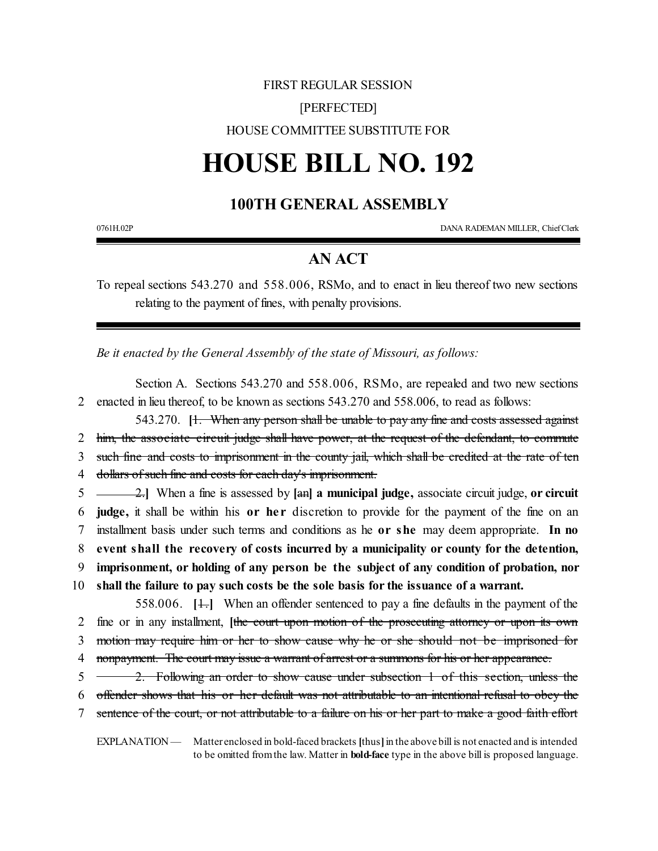## FIRST REGULAR SESSION

#### [PERFECTED]

HOUSE COMMITTEE SUBSTITUTE FOR

# **HOUSE BILL NO. 192**

### **100TH GENERAL ASSEMBLY**

0761H.02P DANA RADEMAN MILLER, ChiefClerk

### **AN ACT**

To repeal sections 543.270 and 558.006, RSMo, and to enact in lieu thereof two new sections relating to the payment of fines, with penalty provisions.

*Be it enacted by the General Assembly of the state of Missouri, as follows:*

Section A. Sections 543.270 and 558.006, RSMo, are repealed and two new sections 2 enacted in lieu thereof, to be known as sections 543.270 and 558.006, to read as follows:

543.270. **[1. When any person shall be unable to pay any fine and costs assessed against**  him, the associate circuit judge shall have power, at the request of the defendant, to commute such fine and costs to imprisonment in the county jail, which shall be credited at the rate of ten dollars of such fine and costs for each day's imprisonment. 2.**]** When a fine is assessed by **[**an**] a municipal judge,** associate circuit judge, **or circuit**

 **judge,** it shall be within his **or he r** discretion to provide for the payment of the fine on an installment basis under such terms and conditions as he **or she** may deem appropriate. **In no event shall the recovery of costs incurred by a municipality or county for the detention, imprisonment, or holding of any person be the subject of any condition of probation, nor**

10 **shall the failure to pay such costs be the sole basis for the issuance of a warrant.**

558.006. **[**1.**]** When an offender sentenced to pay a fine defaults in the payment of the 2 fine or in any installment, **[**the court upon motion of the prosecuting attorney or upon its own 3 motion may require him or her to show cause why he or she should not be imprisoned for 4 nonpayment. The court may issue a warrant of arrest or a summons for his or her appearance.

5 2. Following an order to show cause under subsection 1 of this section, unless the

6 offender shows that his or her default was not attributable to an intentional refusal to obey the

7 sentence of the court, or not attributable to a failure on his or her part to make a good faith effort

EXPLANATION — Matter enclosed in bold-faced brackets **[**thus**]**in the above bill is not enacted and is intended to be omitted fromthe law. Matter in **bold-face** type in the above bill is proposed language.